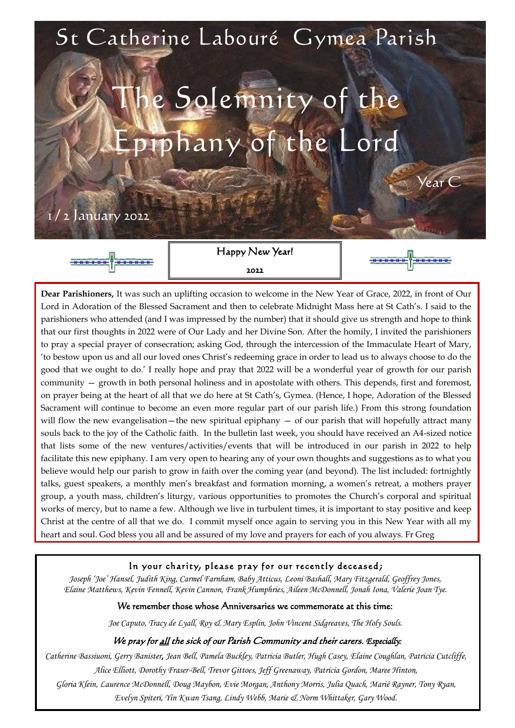2022

#### In your charity, please pray for our recently deceased;

*Joseph 'Joe' Hansel, Judith King, Carmel Farnham, Baby Atticus, Leoni Bashall, Mary Fitzgerald, Geoffrey Jones, Elaine Matthews, Kevin Fennell, Kevin Cannon, Frank Humphries, Aileen McDonnell, Jonah Iona, Valerie Joan Tye.*

#### We remember those whose Anniversaries we commemorate at this time:

*Joe Caputo, Tracy de Lyall, Roy & Mary Esplin, John Vincent Sidgreaves, The Holy Souls.*

### We pray for all the sick of our Parish Community and their carers. *Especially:*

*Catherine Bassiuoni, Gerry Banister, Jean Bell, Pamela Buckley, Patricia Butler, Hugh Casey, Elaine Coughlan, Patricia Cutcliffe, Alice Elliott, Dorothy Fraser-Bell, Trevor Gittoes, Jeff Greenaway, Patricia Gordon, Maree Hinton, Gloria Klein, Laurence McDonnell, Doug Maybon, Evie Morgan, Anthony Morris, Julia Quach, Marié Rayner, Tony Ryan, Evelyn Spiteri, Yin Kwan Tsang, Lindy Webb, Marie & Norm Whittaker, Gary Wood.*



**Dear Parishioners,** It was such an uplifting occasion to welcome in the New Year of Grace, 2022, in front of Our Lord in Adoration of the Blessed Sacrament and then to celebrate Midnight Mass here at St Cath's. I said to the parishioners who attended (and I was impressed by the number) that it should give us strength and hope to think that our first thoughts in 2022 were of Our Lady and her Divine Son. After the homily, I invited the parishioners to pray a special prayer of consecration; asking God, through the intercession of the Immaculate Heart of Mary, 'to bestow upon us and all our loved ones Christ's redeeming grace in order to lead us to always choose to do the good that we ought to do.' I really hope and pray that 2022 will be a wonderful year of growth for our parish community — growth in both personal holiness and in apostolate with others. This depends, first and foremost, on prayer being at the heart of all that we do here at St Cath's, Gymea. (Hence, I hope, Adoration of the Blessed Sacrament will continue to become an even more regular part of our parish life.) From this strong foundation will flow the new evangelisation—the new spiritual epiphany — of our parish that will hopefully attract many souls back to the joy of the Catholic faith. In the bulletin last week, you should have received an A4-sized notice that lists some of the new ventures/activities/events that will be introduced in our parish in 2022 to help facilitate this new epiphany. I am very open to hearing any of your own thoughts and suggestions as to what you believe would help our parish to grow in faith over the coming year (and beyond). The list included: fortnightly talks, guest speakers, a monthly men's breakfast and formation morning, a women's retreat, a mothers prayer group, a youth mass, children's liturgy, various opportunities to promotes the Church's corporal and spiritual works of mercy, but to name a few. Although we live in turbulent times, it is important to stay positive and keep Christ at the centre of all that we do. I commit myself once again to serving you in this New Year with all my heart and soul. God bless you all and be assured of my love and prayers for each of you always. Fr Greg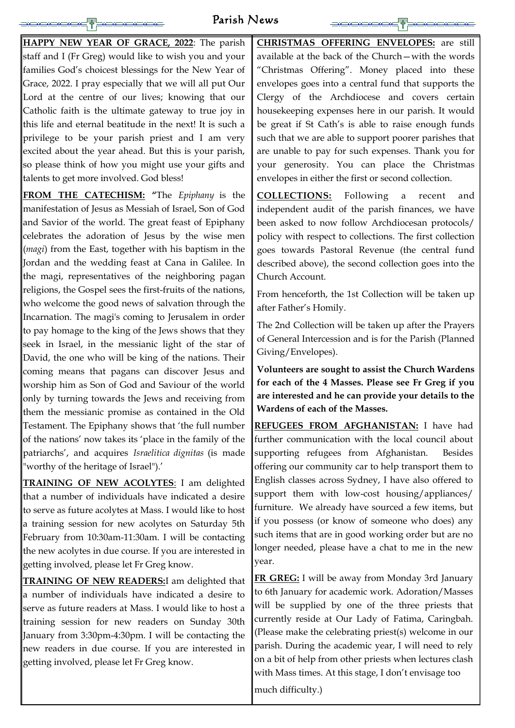# Parish News

**HAPPY NEW YEAR OF GRACE, 2022**: The parish staff and I (Fr Greg) would like to wish you and your families God's choicest blessings for the New Year of Grace, 2022. I pray especially that we will all put Our Lord at the centre of our lives; knowing that our Catholic faith is the ultimate gateway to true joy in this life and eternal beatitude in the next! It is such a privilege to be your parish priest and I am very excited about the year ahead. But this is your parish, so please think of how you might use your gifts and talents to get more involved. God bless!

**FROM THE CATECHISM: "**The *Epiphany* is the manifestation of Jesus as Messiah of Israel, Son of God and Savior of the world. The great feast of Epiphany celebrates the adoration of Jesus by the wise men (*magi*) from the East, together with his baptism in the Jordan and the wedding feast at Cana in Galilee. In the magi, representatives of the neighboring pagan religions, the Gospel sees the first-fruits of the nations, who welcome the good news of salvation through the Incarnation. The magi's coming to Jerusalem in order to pay homage to the king of the Jews shows that they seek in Israel, in the messianic light of the star of David, the one who will be king of the nations. Their coming means that pagans can discover Jesus and worship him as Son of God and Saviour of the world only by turning towards the Jews and receiving from them the messianic promise as contained in the Old Testament. The Epiphany shows that 'the full number of the nations' now takes its 'place in the family of the patriarchs', and acquires *Israelitica dignitas* (is made "worthy of the heritage of Israel").'

**TRAINING OF NEW ACOLYTES**: I am delighted that a number of individuals have indicated a desire to serve as future acolytes at Mass. I would like to host a training session for new acolytes on Saturday 5th February from 10:30am-11:30am. I will be contacting the new acolytes in due course. If you are interested in getting involved, please let Fr Greg know. **TRAINING OF NEW READERS:**I am delighted that a number of individuals have indicated a desire to serve as future readers at Mass. I would like to host a training session for new readers on Sunday 30th January from 3:30pm-4:30pm. I will be contacting the new readers in due course. If you are interested in getting involved, please let Fr Greg know.

**CHRISTMAS OFFERING ENVELOPES:** are still available at the back of the Church—with the words "Christmas Offering". Money placed into these envelopes goes into a central fund that supports the Clergy of the Archdiocese and covers certain housekeeping expenses here in our parish. It would be great if St Cath's is able to raise enough funds such that we are able to support poorer parishes that are unable to pay for such expenses. Thank you for your generosity. You can place the Christmas envelopes in either the first or second collection.

**COLLECTIONS:** Following a recent and independent audit of the parish finances, we have been asked to now follow Archdiocesan protocols/ policy with respect to collections. The first collection goes towards Pastoral Revenue (the central fund described above), the second collection goes into the Church Account.

From henceforth, the 1st Collection will be taken up after Father's Homily.

The 2nd Collection will be taken up after the Prayers of General Intercession and is for the Parish (Planned Giving/Envelopes).

**Volunteers are sought to assist the Church Wardens for each of the 4 Masses. Please see Fr Greg if you are interested and he can provide your details to the Wardens of each of the Masses.**

**REFUGEES FROM AFGHANISTAN:** I have had further communication with the local council about supporting refugees from Afghanistan. Besides offering our community car to help transport them to English classes across Sydney, I have also offered to support them with low-cost housing/appliances/ furniture. We already have sourced a few items, but if you possess (or know of someone who does) any such items that are in good working order but are no longer needed, please have a chat to me in the new

year.

**FR GREG:** I will be away from Monday 3rd January to 6th January for academic work. Adoration/Masses will be supplied by one of the three priests that currently reside at Our Lady of Fatima, Caringbah. (Please make the celebrating priest(s) welcome in our parish. During the academic year, I will need to rely on a bit of help from other priests when lectures clash with Mass times. At this stage, I don't envisage too

much difficulty.)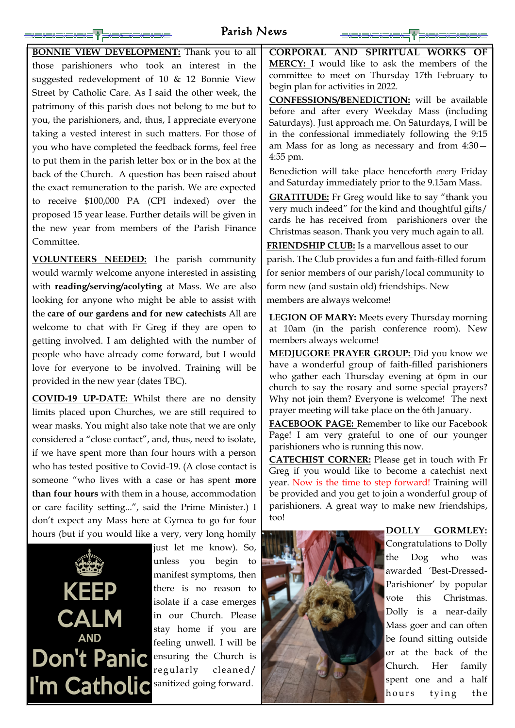# Parish News

the Dog who was awarded 'Best-Dressed-Parishioner' by popular vote this Christmas. Dolly is a near-daily Mass goer and can often be found sitting outside or at the back of the Church. Her family spent one and a half hours tying the

| <b>BONNIE VIEW DEVELOPMENT:</b> Thank you to all           | CORPORAL AND SPIRITUAL WORKS OF                                                                           |
|------------------------------------------------------------|-----------------------------------------------------------------------------------------------------------|
| those parishioners who took an interest in the             | <b>MERCY:</b> I would like to ask the members of the                                                      |
| suggested redevelopment of 10 & 12 Bonnie View             | committee to meet on Thursday 17th February to                                                            |
| Street by Catholic Care. As I said the other week, the     | begin plan for activities in 2022.                                                                        |
| patrimony of this parish does not belong to me but to      | <b>CONFESSIONS/BENEDICTION:</b> will be available<br>before and after every Weekday Mass (including       |
| you, the parishioners, and, thus, I appreciate everyone    | Saturdays). Just approach me. On Saturdays, I will be                                                     |
| taking a vested interest in such matters. For those of     | in the confessional immediately following the 9:15                                                        |
| you who have completed the feedback forms, feel free       | am Mass for as long as necessary and from $4:30-$                                                         |
| to put them in the parish letter box or in the box at the  | $4:55$ pm.                                                                                                |
| back of the Church. A question has been raised about       | Benediction will take place henceforth every Friday                                                       |
| the exact remuneration to the parish. We are expected      | and Saturday immediately prior to the 9.15am Mass.                                                        |
| to receive \$100,000 PA (CPI indexed) over the             | <b>GRATITUDE:</b> Fr Greg would like to say "thank you                                                    |
| proposed 15 year lease. Further details will be given in   | very much indeed" for the kind and thoughtful gifts/                                                      |
| the new year from members of the Parish Finance            | cards he has received from parishioners over the<br>Christmas season. Thank you very much again to all.   |
| Committee.                                                 | <b>FRIENDSHIP CLUB:</b> Is a marvellous asset to our                                                      |
| <b>VOLUNTEERS NEEDED:</b> The parish community             | parish. The Club provides a fun and faith-filled forum                                                    |
| would warmly welcome anyone interested in assisting        | for senior members of our parish/local community to                                                       |
| with reading/serving/acolyting at Mass. We are also        | form new (and sustain old) friendships. New                                                               |
| looking for anyone who might be able to assist with        | members are always welcome!                                                                               |
| the care of our gardens and for new catechists All are     | <b>LEGION OF MARY:</b> Meets every Thursday morning                                                       |
| welcome to chat with Fr Greg if they are open to           | at 10am (in the parish conference room). New                                                              |
| getting involved. I am delighted with the number of        | members always welcome!                                                                                   |
| people who have already come forward, but I would          | <b>MEDJUGORE PRAYER GROUP:</b> Did you know we                                                            |
| love for everyone to be involved. Training will be         | have a wonderful group of faith-filled parishioners                                                       |
| provided in the new year (dates TBC).                      | who gather each Thursday evening at 6pm in our<br>church to say the rosary and some special prayers?      |
| COVID-19 UP-DATE: Whilst there are no density              | Why not join them? Everyone is welcome! The next                                                          |
| limits placed upon Churches, we are still required to      | prayer meeting will take place on the 6th January.                                                        |
| wear masks. You might also take note that we are only      | <b>FACEBOOK PAGE:</b> Remember to like our Facebook                                                       |
| considered a "close contact", and, thus, need to isolate,  | Page! I am very grateful to one of our younger                                                            |
| if we have spent more than four hours with a person        | parishioners who is running this now.                                                                     |
| who has tested positive to Covid-19. (A close contact is   | <b>CATECHIST CORNER:</b> Please get in touch with Fr                                                      |
| someone "who lives with a case or has spent <b>more</b>    | Greg if you would like to become a catechist next<br>year. Now is the time to step forward! Training will |
| <b>than four hours</b> with them in a house, accommodation | be provided and you get to join a wonderful group of                                                      |
| or care facility setting", said the Prime Minister.) I     | parishioners. A great way to make new friendships,                                                        |
| don't expect any Mass here at Gymea to go for four         | too!                                                                                                      |
| hours (but if you would like a very, very long homily      | <b>GORMLEY:</b><br><b>DOLLY</b>                                                                           |
| $\ln t$ let me know) $\zeta_0$                             | Congratulations to Dolly                                                                                  |



**KEEP CALM AND Don't Panic** feeling unwell. I will be regularly cleaned/<br>I'm Catholic sanitized going forward.

just let me know). So, unless you begin to manifest symptoms, then there is no reason to isolate if a case emerges in our Church. Please stay home if you are ensuring the Church is sanitized going forward.